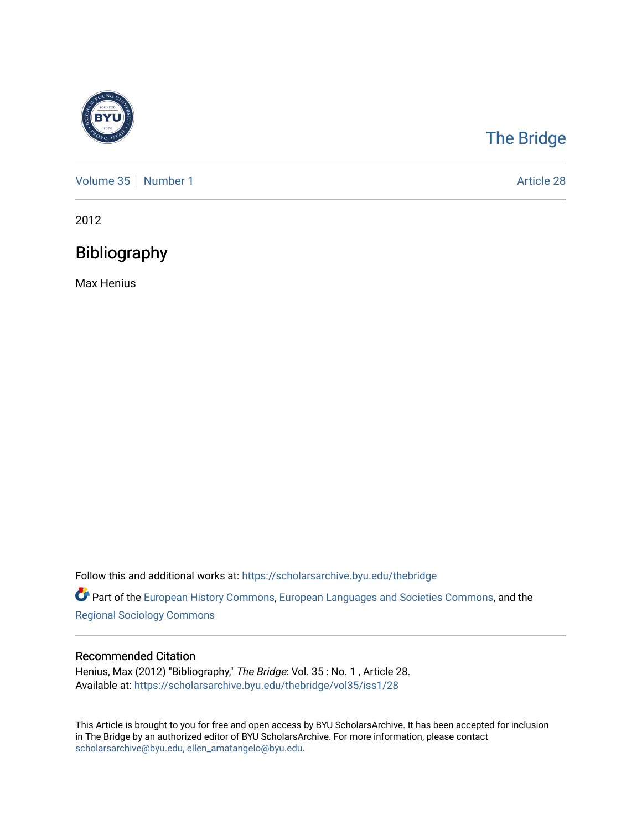

# [The Bridge](https://scholarsarchive.byu.edu/thebridge)

[Volume 35](https://scholarsarchive.byu.edu/thebridge/vol35) [Number 1](https://scholarsarchive.byu.edu/thebridge/vol35/iss1) Article 28

2012

## Bibliography

Max Henius

Follow this and additional works at: [https://scholarsarchive.byu.edu/thebridge](https://scholarsarchive.byu.edu/thebridge?utm_source=scholarsarchive.byu.edu%2Fthebridge%2Fvol35%2Fiss1%2F28&utm_medium=PDF&utm_campaign=PDFCoverPages) 

**Part of the [European History Commons](http://network.bepress.com/hgg/discipline/492?utm_source=scholarsarchive.byu.edu%2Fthebridge%2Fvol35%2Fiss1%2F28&utm_medium=PDF&utm_campaign=PDFCoverPages), [European Languages and Societies Commons,](http://network.bepress.com/hgg/discipline/482?utm_source=scholarsarchive.byu.edu%2Fthebridge%2Fvol35%2Fiss1%2F28&utm_medium=PDF&utm_campaign=PDFCoverPages) and the** [Regional Sociology Commons](http://network.bepress.com/hgg/discipline/427?utm_source=scholarsarchive.byu.edu%2Fthebridge%2Fvol35%2Fiss1%2F28&utm_medium=PDF&utm_campaign=PDFCoverPages) 

#### Recommended Citation

Henius, Max (2012) "Bibliography," The Bridge: Vol. 35 : No. 1 , Article 28. Available at: [https://scholarsarchive.byu.edu/thebridge/vol35/iss1/28](https://scholarsarchive.byu.edu/thebridge/vol35/iss1/28?utm_source=scholarsarchive.byu.edu%2Fthebridge%2Fvol35%2Fiss1%2F28&utm_medium=PDF&utm_campaign=PDFCoverPages)

This Article is brought to you for free and open access by BYU ScholarsArchive. It has been accepted for inclusion in The Bridge by an authorized editor of BYU ScholarsArchive. For more information, please contact [scholarsarchive@byu.edu, ellen\\_amatangelo@byu.edu](mailto:scholarsarchive@byu.edu,%20ellen_amatangelo@byu.edu).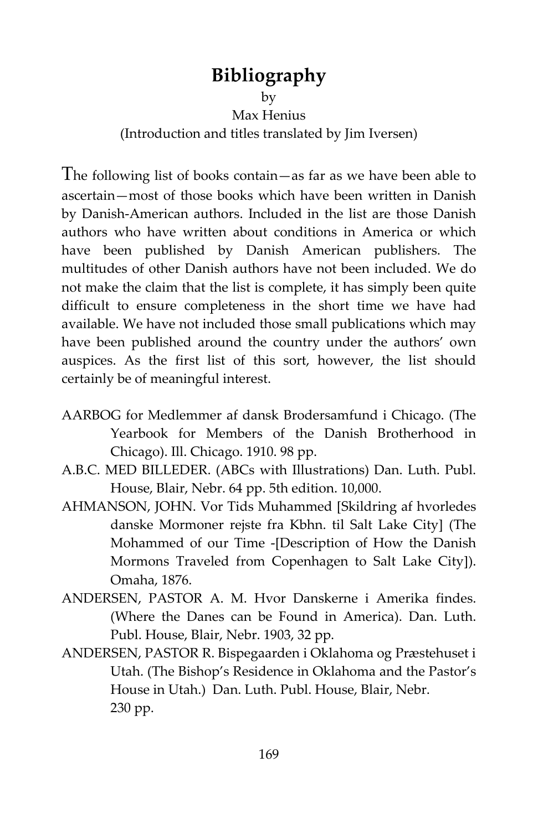## **Bibliography**

by

Max Henius

(Introduction and titles translated by Jim Iversen)

The following list of books contain—as far as we have been able to ascertain—most of those books which have been written in Danish by Danish-American authors. Included in the list are those Danish authors who have written about conditions in America or which have been published by Danish American publishers. The multitudes of other Danish authors have not been included. We do not make the claim that the list is complete, it has simply been quite difficult to ensure completeness in the short time we have had available. We have not included those small publications which may have been published around the country under the authors' own auspices. As the first list of this sort, however, the list should certainly be of meaningful interest.

- AARBOG for Medlemmer af dansk Brodersamfund i Chicago. (The Yearbook for Members of the Danish Brotherhood in Chicago). Ill. Chicago. 1910. 98 pp.
- A.B.C. MED BILLEDER. (ABCs with Illustrations) Dan. Luth. Publ. House, Blair, Nebr. 64 pp. 5th edition. 10,000.
- AHMANSON, JOHN. Vor Tids Muhammed [Skildring af hvorledes danske Mormoner rejste fra Kbhn. til Salt Lake City] (The Mohammed of our Time -[Description of How the Danish Mormons Traveled from Copenhagen to Salt Lake City]). Omaha, 1876.
- ANDERSEN, PASTOR A. M. Hvor Danskerne i Amerika findes. (Where the Danes can be Found in America). Dan. Luth. Publ. House, Blair, Nebr. 1903, 32 pp.
- ANDERSEN, PASTOR R. Bispegaarden i Oklahoma og Præstehuset i Utah. (The Bishop's Residence in Oklahoma and the Pastor's House in Utah.) Dan. Luth. Publ. House, Blair, Nebr. 230 pp.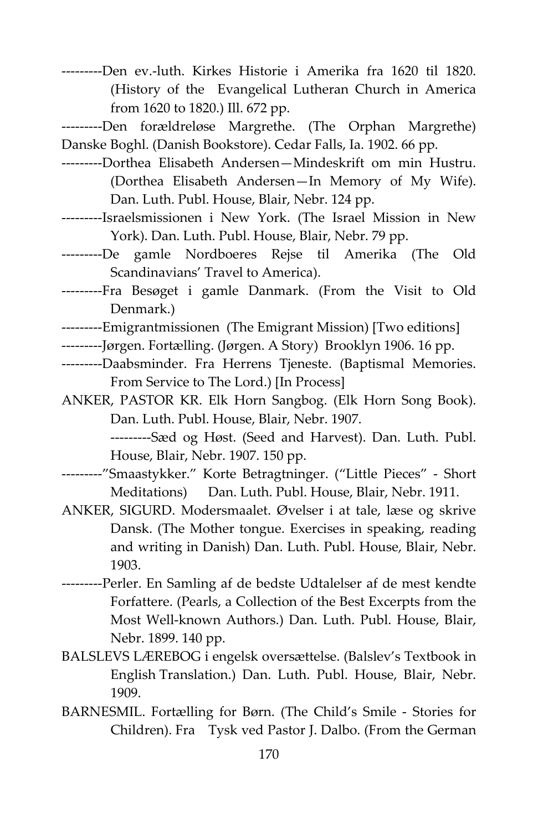---------Den ev.-luth. Kirkes Historie i Amerika fra 1620 til 1820. (History of the Evangelical Lutheran Church in America from 1620 to 1820.) Ill. 672 pp.

---------Den forældreløse Margrethe. (The Orphan Margrethe) Danske Boghl. (Danish Bookstore). Cedar Falls, Ia. 1902. 66 pp.

- ---------Dorthea Elisabeth Andersen—Mindeskrift om min Hustru. (Dorthea Elisabeth Andersen—In Memory of My Wife). Dan. Luth. Publ. House, Blair, Nebr. 124 pp.
- ---------Israelsmissionen i New York. (The Israel Mission in New York). Dan. Luth. Publ. House, Blair, Nebr. 79 pp.
- ---------De gamle Nordboeres Rejse til Amerika (The Old Scandinavians' Travel to America).
- ---------Fra Besøget i gamle Danmark. (From the Visit to Old Denmark.)
- ---------Emigrantmissionen (The Emigrant Mission) [Two editions]
- ---------Jørgen. Fortælling. (Jørgen. A Story) Brooklyn 1906. 16 pp.
- ---------Daabsminder. Fra Herrens Tjeneste. (Baptismal Memories. From Service to The Lord.) [In Process]
- ANKER, PASTOR KR. Elk Horn Sangbog. (Elk Horn Song Book). Dan. Luth. Publ. House, Blair, Nebr. 1907.

---------Sæd og Høst. (Seed and Harvest). Dan. Luth. Publ. House, Blair, Nebr. 1907. 150 pp.

- ---------"Smaastykker." Korte Betragtninger. ("Little Pieces" Short Meditations) Dan. Luth. Publ. House, Blair, Nebr. 1911.
- ANKER, SIGURD. Modersmaalet. Øvelser i at tale, læse og skrive Dansk. (The Mother tongue. Exercises in speaking, reading and writing in Danish) Dan. Luth. Publ. House, Blair, Nebr. 1903.
- ---------Perler. En Samling af de bedste Udtalelser af de mest kendte Forfattere. (Pearls, a Collection of the Best Excerpts from the Most Well-known Authors.) Dan. Luth. Publ. House, Blair, Nebr. 1899. 140 pp.
- BALSLEVS LÆREBOG i engelsk oversættelse. (Balslev's Textbook in English Translation.) Dan. Luth. Publ. House, Blair, Nebr. 1909.
- BARNESMIL. Fortælling for Børn. (The Child's Smile Stories for Children). Fra Tysk ved Pastor J. Dalbo. (From the German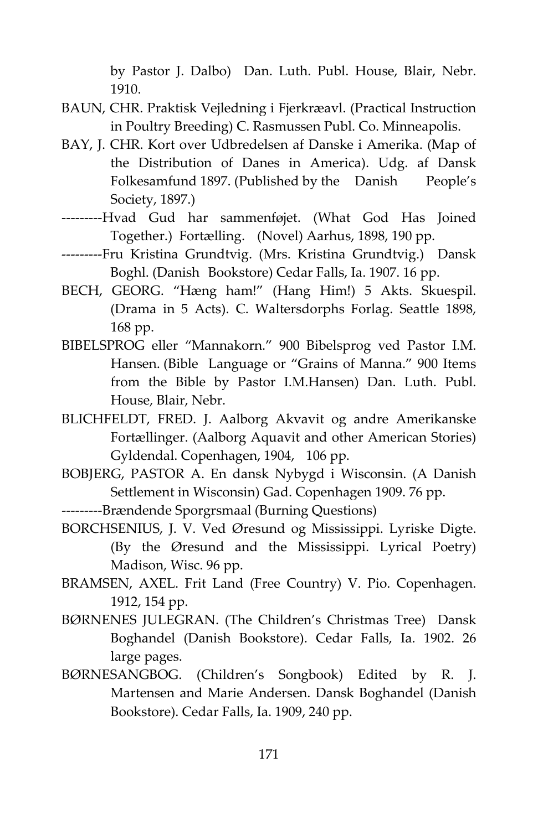by Pastor J. Dalbo) Dan. Luth. Publ. House, Blair, Nebr. 1910.

- BAUN, CHR. Praktisk Vejledning i Fjerkræavl. (Practical Instruction in Poultry Breeding) C. Rasmussen Publ. Co. Minneapolis.
- BAY, J. CHR. Kort over Udbredelsen af Danske i Amerika. (Map of the Distribution of Danes in America). Udg. af Dansk Folkesamfund 1897. (Published by the Danish People's Society, 1897.)
- ---------Hvad Gud har sammenføjet. (What God Has Joined Together.) Fortælling. (Novel) Aarhus, 1898, 190 pp.
- ---------Fru Kristina Grundtvig. (Mrs. Kristina Grundtvig.) Dansk Boghl. (Danish Bookstore) Cedar Falls, Ia. 1907. 16 pp.
- BECH, GEORG. "Hæng ham!" (Hang Him!) 5 Akts. Skuespil. (Drama in 5 Acts). C. Waltersdorphs Forlag. Seattle 1898, 168 pp.
- BIBELSPROG eller "Mannakorn." 900 Bibelsprog ved Pastor I.M. Hansen. (Bible Language or "Grains of Manna." 900 Items from the Bible by Pastor I.M.Hansen) Dan. Luth. Publ. House, Blair, Nebr.
- BLICHFELDT, FRED. J. Aalborg Akvavit og andre Amerikanske Fortællinger. (Aalborg Aquavit and other American Stories) Gyldendal. Copenhagen, 1904, 106 pp.
- BOBJERG, PASTOR A. En dansk Nybygd i Wisconsin. (A Danish Settlement in Wisconsin) Gad. Copenhagen 1909. 76 pp.
- ---------Brændende Sporgrsmaal (Burning Questions)
- BORCHSENIUS, J. V. Ved Øresund og Mississippi. Lyriske Digte. (By the Øresund and the Mississippi. Lyrical Poetry) Madison, Wisc. 96 pp.
- BRAMSEN, AXEL. Frit Land (Free Country) V. Pio. Copenhagen. 1912, 154 pp.
- BØRNENES JULEGRAN. (The Children's Christmas Tree) Dansk Boghandel (Danish Bookstore). Cedar Falls, Ia. 1902. 26 large pages.
- BØRNESANGBOG. (Children's Songbook) Edited by R. J. Martensen and Marie Andersen. Dansk Boghandel (Danish Bookstore). Cedar Falls, Ia. 1909, 240 pp.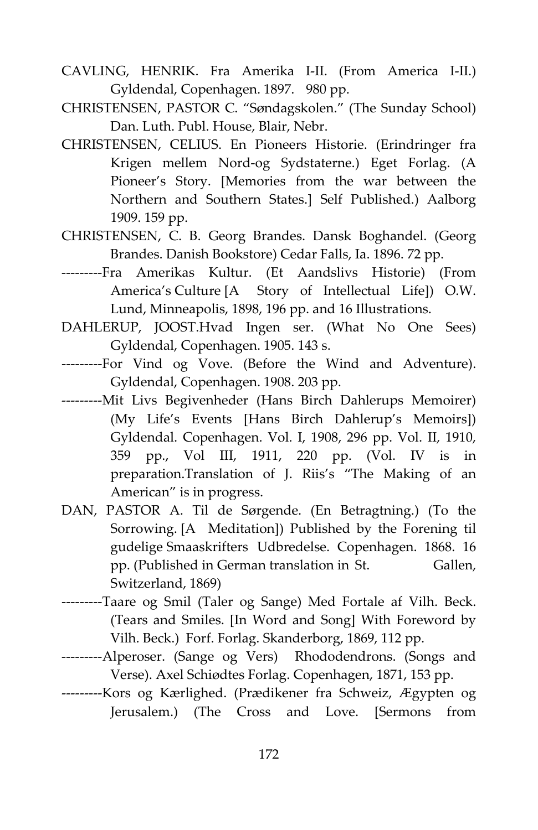- CAVLING, HENRIK. Fra Amerika I-II. (From America I-II.) Gyldendal, Copenhagen. 1897. 980 pp.
- CHRISTENSEN, PASTOR C. "Søndagskolen." (The Sunday School) Dan. Luth. Publ. House, Blair, Nebr.
- CHRISTENSEN, CELIUS. En Pioneers Historie. (Erindringer fra Krigen mellem Nord-og Sydstaterne.) Eget Forlag. (A Pioneer's Story. [Memories from the war between the Northern and Southern States.] Self Published.) Aalborg 1909. 159 pp.
- CHRISTENSEN, C. B. Georg Brandes. Dansk Boghandel. (Georg Brandes. Danish Bookstore) Cedar Falls, Ia. 1896. 72 pp.
- ---------Fra Amerikas Kultur. (Et Aandslivs Historie) (From America's Culture [A Story of Intellectual Life]) O.W. Lund, Minneapolis, 1898, 196 pp. and 16 Illustrations.
- DAHLERUP, JOOST.Hvad Ingen ser. (What No One Sees) Gyldendal, Copenhagen. 1905. 143 s.
- ---------For Vind og Vove. (Before the Wind and Adventure). Gyldendal, Copenhagen. 1908. 203 pp.
- ---------Mit Livs Begivenheder (Hans Birch Dahlerups Memoirer) (My Life's Events [Hans Birch Dahlerup's Memoirs]) Gyldendal. Copenhagen. Vol. I, 1908, 296 pp. Vol. II, 1910, 359 pp., Vol III, 1911, 220 pp. (Vol. IV is in preparation.Translation of J. Riis's "The Making of an American" is in progress.
- DAN, PASTOR A. Til de Sørgende. (En Betragtning.) (To the Sorrowing. [A Meditation]) Published by the Forening til gudelige Smaaskrifters Udbredelse. Copenhagen. 1868. 16 pp. (Published in German translation in St. Gallen, Switzerland, 1869)
- ---------Taare og Smil (Taler og Sange) Med Fortale af Vilh. Beck. (Tears and Smiles. [In Word and Song] With Foreword by Vilh. Beck.) Forf. Forlag. Skanderborg, 1869, 112 pp.
- ---------Alperoser. (Sange og Vers) Rhododendrons. (Songs and Verse). Axel Schiødtes Forlag. Copenhagen, 1871, 153 pp.
- ---------Kors og Kærlighed. (Prædikener fra Schweiz, Ægypten og Jerusalem.) (The Cross and Love. [Sermons from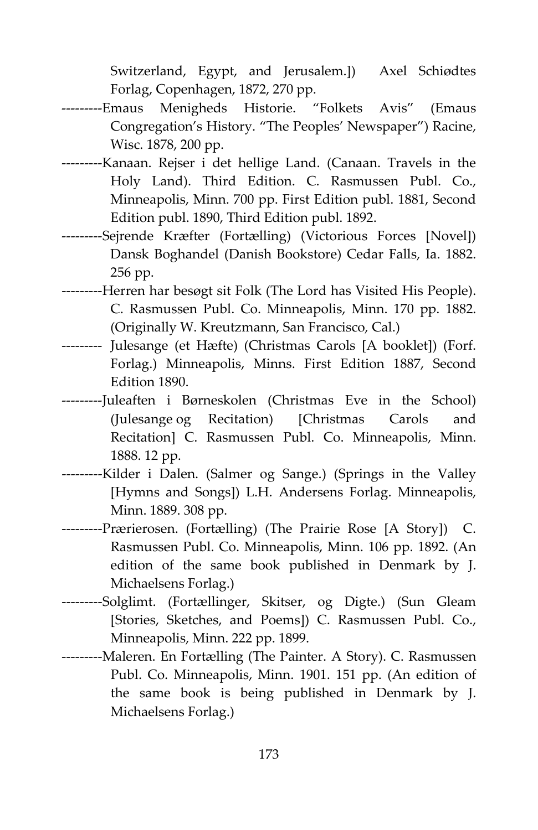Switzerland, Egypt, and Jerusalem.]) Axel Schiødtes Forlag, Copenhagen, 1872, 270 pp.

- ---------Emaus Menigheds Historie. "Folkets Avis" (Emaus Congregation's History. "The Peoples' Newspaper") Racine, Wisc. 1878, 200 pp.
- ---------Kanaan. Rejser i det hellige Land. (Canaan. Travels in the Holy Land). Third Edition. C. Rasmussen Publ. Co., Minneapolis, Minn. 700 pp. First Edition publ. 1881, Second Edition publ. 1890, Third Edition publ. 1892.
- ---------Sejrende Kræfter (Fortælling) (Victorious Forces [Novel]) Dansk Boghandel (Danish Bookstore) Cedar Falls, Ia. 1882. 256 pp.
- ---------Herren har besøgt sit Folk (The Lord has Visited His People). C. Rasmussen Publ. Co. Minneapolis, Minn. 170 pp. 1882. (Originally W. Kreutzmann, San Francisco, Cal.)
- --------- Julesange (et Hæfte) (Christmas Carols [A booklet]) (Forf. Forlag.) Minneapolis, Minns. First Edition 1887, Second Edition 1890.
- ---------Juleaften i Børneskolen (Christmas Eve in the School) (Julesange og Recitation) [Christmas Carols and Recitation] C. Rasmussen Publ. Co. Minneapolis, Minn. 1888. 12 pp.
- ---------Kilder i Dalen. (Salmer og Sange.) (Springs in the Valley [Hymns and Songs]) L.H. Andersens Forlag. Minneapolis, Minn. 1889. 308 pp.
- ---------Prærierosen. (Fortælling) (The Prairie Rose [A Story]) C. Rasmussen Publ. Co. Minneapolis, Minn. 106 pp. 1892. (An edition of the same book published in Denmark by J. Michaelsens Forlag.)
- ---------Solglimt. (Fortællinger, Skitser, og Digte.) (Sun Gleam [Stories, Sketches, and Poems]) C. Rasmussen Publ. Co., Minneapolis, Minn. 222 pp. 1899.
- ---------Maleren. En Fortælling (The Painter. A Story). C. Rasmussen Publ. Co. Minneapolis, Minn. 1901. 151 pp. (An edition of the same book is being published in Denmark by J. Michaelsens Forlag.)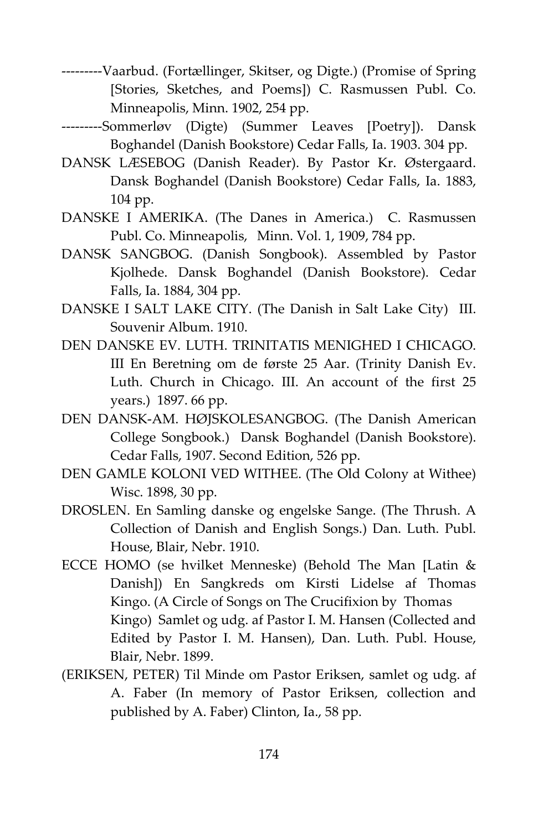- ---------Vaarbud. (Fortællinger, Skitser, og Digte.) (Promise of Spring [Stories, Sketches, and Poems]) C. Rasmussen Publ. Co. Minneapolis, Minn. 1902, 254 pp.
- ---------Sommerløv (Digte) (Summer Leaves [Poetry]). Dansk Boghandel (Danish Bookstore) Cedar Falls, Ia. 1903. 304 pp.
- DANSK LÆSEBOG (Danish Reader). By Pastor Kr. Østergaard. Dansk Boghandel (Danish Bookstore) Cedar Falls, Ia. 1883, 104 pp.
- DANSKE I AMERIKA. (The Danes in America.) C. Rasmussen Publ. Co. Minneapolis, Minn. Vol. 1, 1909, 784 pp.
- DANSK SANGBOG. (Danish Songbook). Assembled by Pastor Kjolhede. Dansk Boghandel (Danish Bookstore). Cedar Falls, Ia. 1884, 304 pp.
- DANSKE I SALT LAKE CITY. (The Danish in Salt Lake City) III. Souvenir Album. 1910.
- DEN DANSKE EV. LUTH. TRINITATIS MENIGHED I CHICAGO. III En Beretning om de første 25 Aar. (Trinity Danish Ev. Luth. Church in Chicago. III. An account of the first 25 years.) 1897. 66 pp.
- DEN DANSK-AM. HØJSKOLESANGBOG. (The Danish American College Songbook.) Dansk Boghandel (Danish Bookstore). Cedar Falls, 1907. Second Edition, 526 pp.
- DEN GAMLE KOLONI VED WITHEE. (The Old Colony at Withee) Wisc. 1898, 30 pp.
- DROSLEN. En Samling danske og engelske Sange. (The Thrush. A Collection of Danish and English Songs.) Dan. Luth. Publ. House, Blair, Nebr. 1910.
- ECCE HOMO (se hvilket Menneske) (Behold The Man [Latin & Danish]) En Sangkreds om Kirsti Lidelse af Thomas Kingo. (A Circle of Songs on The Crucifixion by Thomas Kingo) Samlet og udg. af Pastor I. M. Hansen (Collected and Edited by Pastor I. M. Hansen), Dan. Luth. Publ. House, Blair, Nebr. 1899.
- (ERIKSEN, PETER) Til Minde om Pastor Eriksen, samlet og udg. af A. Faber (In memory of Pastor Eriksen, collection and published by A. Faber) Clinton, Ia., 58 pp.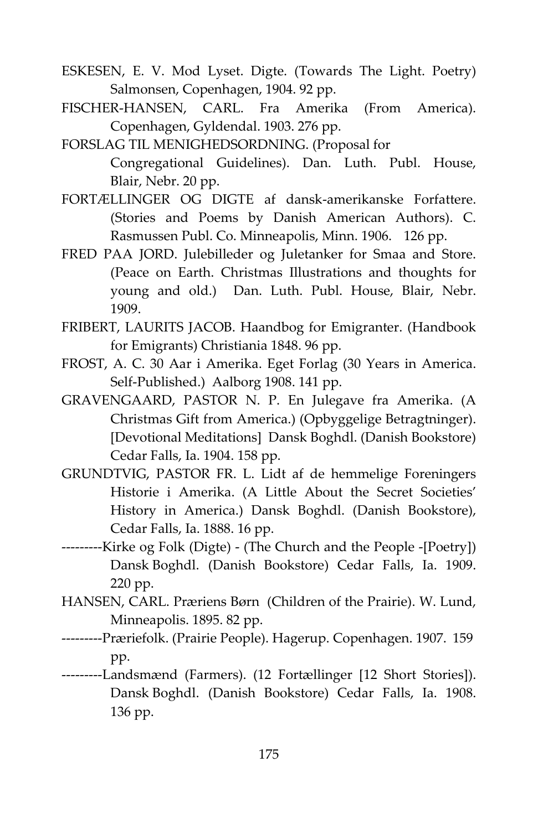- ESKESEN, E. V. Mod Lyset. Digte. (Towards The Light. Poetry) Salmonsen, Copenhagen, 1904. 92 pp.
- FISCHER-HANSEN, CARL. Fra Amerika (From America). Copenhagen, Gyldendal. 1903. 276 pp.
- FORSLAG TIL MENIGHEDSORDNING. (Proposal for Congregational Guidelines). Dan. Luth. Publ. House, Blair, Nebr. 20 pp.
- FORTÆLLINGER OG DIGTE af dansk-amerikanske Forfattere. (Stories and Poems by Danish American Authors). C. Rasmussen Publ. Co. Minneapolis, Minn. 1906. 126 pp.
- FRED PAA JORD. Julebilleder og Juletanker for Smaa and Store. (Peace on Earth. Christmas Illustrations and thoughts for young and old.) Dan. Luth. Publ. House, Blair, Nebr. 1909.
- FRIBERT, LAURITS JACOB. Haandbog for Emigranter. (Handbook for Emigrants) Christiania 1848. 96 pp.
- FROST, A. C. 30 Aar i Amerika. Eget Forlag (30 Years in America. Self-Published.) Aalborg 1908. 141 pp.
- GRAVENGAARD, PASTOR N. P. En Julegave fra Amerika. (A Christmas Gift from America.) (Opbyggelige Betragtninger). [Devotional Meditations] Dansk Boghdl. (Danish Bookstore) Cedar Falls, Ia. 1904. 158 pp.
- GRUNDTVIG, PASTOR FR. L. Lidt af de hemmelige Foreningers Historie i Amerika. (A Little About the Secret Societies' History in America.) Dansk Boghdl. (Danish Bookstore), Cedar Falls, Ia. 1888. 16 pp.
- ---------Kirke og Folk (Digte) (The Church and the People -[Poetry]) Dansk Boghdl. (Danish Bookstore) Cedar Falls, Ia. 1909. 220 pp.
- HANSEN, CARL. Præriens Børn (Children of the Prairie). W. Lund, Minneapolis. 1895. 82 pp.
- ---------Præriefolk. (Prairie People). Hagerup. Copenhagen. 1907. 159 pp.
- ---------Landsmænd (Farmers). (12 Fortællinger [12 Short Stories]). Dansk Boghdl. (Danish Bookstore) Cedar Falls, Ia. 1908. 136 pp.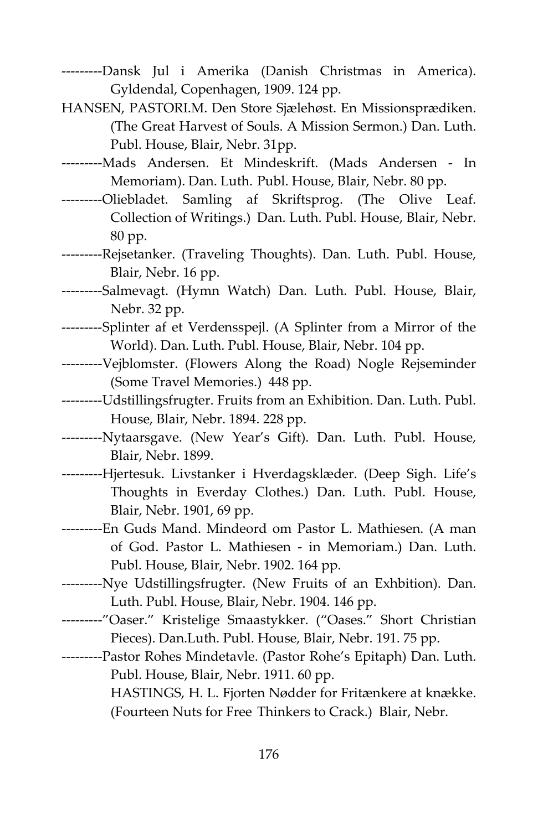- ---------Dansk Jul i Amerika (Danish Christmas in America). Gyldendal, Copenhagen, 1909. 124 pp.
- HANSEN, PASTORI.M. Den Store Sjælehøst. En Missionsprædiken. (The Great Harvest of Souls. A Mission Sermon.) Dan. Luth. Publ. House, Blair, Nebr. 31pp.
- ---------Mads Andersen. Et Mindeskrift. (Mads Andersen In Memoriam). Dan. Luth. Publ. House, Blair, Nebr. 80 pp.
- ---------Oliebladet. Samling af Skriftsprog. (The Olive Leaf. Collection of Writings.) Dan. Luth. Publ. House, Blair, Nebr. 80 pp.
- ---------Rejsetanker. (Traveling Thoughts). Dan. Luth. Publ. House, Blair, Nebr. 16 pp.
- ---------Salmevagt. (Hymn Watch) Dan. Luth. Publ. House, Blair, Nebr. 32 pp.
- ---------Splinter af et Verdensspejl. (A Splinter from a Mirror of the World). Dan. Luth. Publ. House, Blair, Nebr. 104 pp.
- ---------Vejblomster. (Flowers Along the Road) Nogle Rejseminder (Some Travel Memories.) 448 pp.
- ---------Udstillingsfrugter. Fruits from an Exhibition. Dan. Luth. Publ. House, Blair, Nebr. 1894. 228 pp.
- ---------Nytaarsgave. (New Year's Gift). Dan. Luth. Publ. House, Blair, Nebr. 1899.
- ---------Hjertesuk. Livstanker i Hverdagsklæder. (Deep Sigh. Life's Thoughts in Everday Clothes.) Dan. Luth. Publ. House, Blair, Nebr. 1901, 69 pp.
- ---------En Guds Mand. Mindeord om Pastor L. Mathiesen. (A man of God. Pastor L. Mathiesen - in Memoriam.) Dan. Luth. Publ. House, Blair, Nebr. 1902. 164 pp.
- ---------Nye Udstillingsfrugter. (New Fruits of an Exhbition). Dan. Luth. Publ. House, Blair, Nebr. 1904. 146 pp.
- ---------"Oaser." Kristelige Smaastykker. ("Oases." Short Christian Pieces). Dan.Luth. Publ. House, Blair, Nebr. 191. 75 pp.
- ---------Pastor Rohes Mindetavle. (Pastor Rohe's Epitaph) Dan. Luth. Publ. House, Blair, Nebr. 1911. 60 pp. HASTINGS, H. L. Fjorten Nødder for Fritænkere at knække.
	- (Fourteen Nuts for Free Thinkers to Crack.) Blair, Nebr.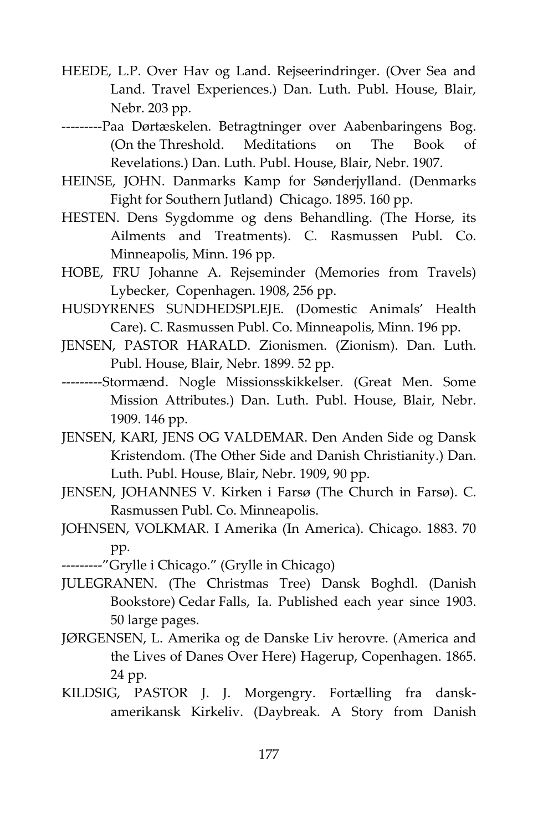- HEEDE, L.P. Over Hav og Land. Rejseerindringer. (Over Sea and Land. Travel Experiences.) Dan. Luth. Publ. House, Blair, Nebr. 203 pp.
- ---------Paa Dørtæskelen. Betragtninger over Aabenbaringens Bog. (On the Threshold. Meditations on The Book of Revelations.) Dan. Luth. Publ. House, Blair, Nebr. 1907.
- HEINSE, JOHN. Danmarks Kamp for Sønderjylland. (Denmarks Fight for Southern Jutland) Chicago. 1895. 160 pp.
- HESTEN. Dens Sygdomme og dens Behandling. (The Horse, its Ailments and Treatments). C. Rasmussen Publ. Co. Minneapolis, Minn. 196 pp.
- HOBE, FRU Johanne A. Rejseminder (Memories from Travels) Lybecker, Copenhagen. 1908, 256 pp.
- HUSDYRENES SUNDHEDSPLEJE. (Domestic Animals' Health Care). C. Rasmussen Publ. Co. Minneapolis, Minn. 196 pp.
- JENSEN, PASTOR HARALD. Zionismen. (Zionism). Dan. Luth. Publ. House, Blair, Nebr. 1899. 52 pp.
- ---------Stormænd. Nogle Missionsskikkelser. (Great Men. Some Mission Attributes.) Dan. Luth. Publ. House, Blair, Nebr. 1909. 146 pp.
- JENSEN, KARI, JENS OG VALDEMAR. Den Anden Side og Dansk Kristendom. (The Other Side and Danish Christianity.) Dan. Luth. Publ. House, Blair, Nebr. 1909, 90 pp.
- JENSEN, JOHANNES V. Kirken i Farsø (The Church in Farsø). C. Rasmussen Publ. Co. Minneapolis.
- JOHNSEN, VOLKMAR. I Amerika (In America). Chicago. 1883. 70 pp.
- ---------"Grylle i Chicago." (Grylle in Chicago)
- JULEGRANEN. (The Christmas Tree) Dansk Boghdl. (Danish Bookstore) Cedar Falls, Ia. Published each year since 1903. 50 large pages.
- JØRGENSEN, L. Amerika og de Danske Liv herovre. (America and the Lives of Danes Over Here) Hagerup, Copenhagen. 1865. 24 pp.
- KILDSIG, PASTOR J. J. Morgengry. Fortælling fra danskamerikansk Kirkeliv. (Daybreak. A Story from Danish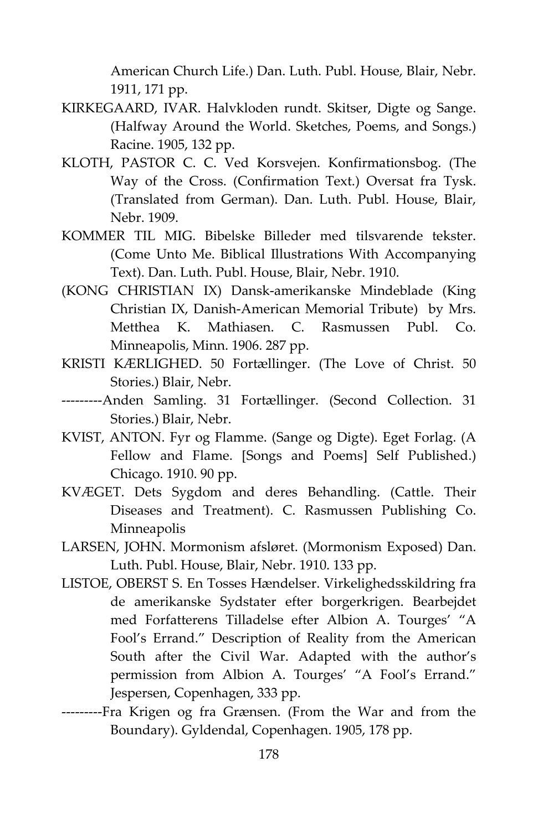American Church Life.) Dan. Luth. Publ. House, Blair, Nebr. 1911, 171 pp.

- KIRKEGAARD, IVAR. Halvkloden rundt. Skitser, Digte og Sange. (Halfway Around the World. Sketches, Poems, and Songs.) Racine. 1905, 132 pp.
- KLOTH, PASTOR C. C. Ved Korsvejen. Konfirmationsbog. (The Way of the Cross. (Confirmation Text.) Oversat fra Tysk. (Translated from German). Dan. Luth. Publ. House, Blair, Nebr. 1909.
- KOMMER TIL MIG. Bibelske Billeder med tilsvarende tekster. (Come Unto Me. Biblical Illustrations With Accompanying Text). Dan. Luth. Publ. House, Blair, Nebr. 1910.
- (KONG CHRISTIAN IX) Dansk-amerikanske Mindeblade (King Christian IX, Danish-American Memorial Tribute) by Mrs. Metthea K. Mathiasen. C. Rasmussen Publ. Co. Minneapolis, Minn. 1906. 287 pp.
- KRISTI KÆRLIGHED. 50 Fortællinger. (The Love of Christ. 50 Stories.) Blair, Nebr.
- ---------Anden Samling. 31 Fortællinger. (Second Collection. 31 Stories.) Blair, Nebr.
- KVIST, ANTON. Fyr og Flamme. (Sange og Digte). Eget Forlag. (A Fellow and Flame. [Songs and Poems] Self Published.) Chicago. 1910. 90 pp.
- KVÆGET. Dets Sygdom and deres Behandling. (Cattle. Their Diseases and Treatment). C. Rasmussen Publishing Co. Minneapolis
- LARSEN, JOHN. Mormonism afsløret. (Mormonism Exposed) Dan. Luth. Publ. House, Blair, Nebr. 1910. 133 pp.
- LISTOE, OBERST S. En Tosses Hændelser. Virkelighedsskildring fra de amerikanske Sydstater efter borgerkrigen. Bearbejdet med Forfatterens Tilladelse efter Albion A. Tourges' "A Fool's Errand." Description of Reality from the American South after the Civil War. Adapted with the author's permission from Albion A. Tourges' "A Fool's Errand." Jespersen, Copenhagen, 333 pp.
- ---------Fra Krigen og fra Grænsen. (From the War and from the Boundary). Gyldendal, Copenhagen. 1905, 178 pp.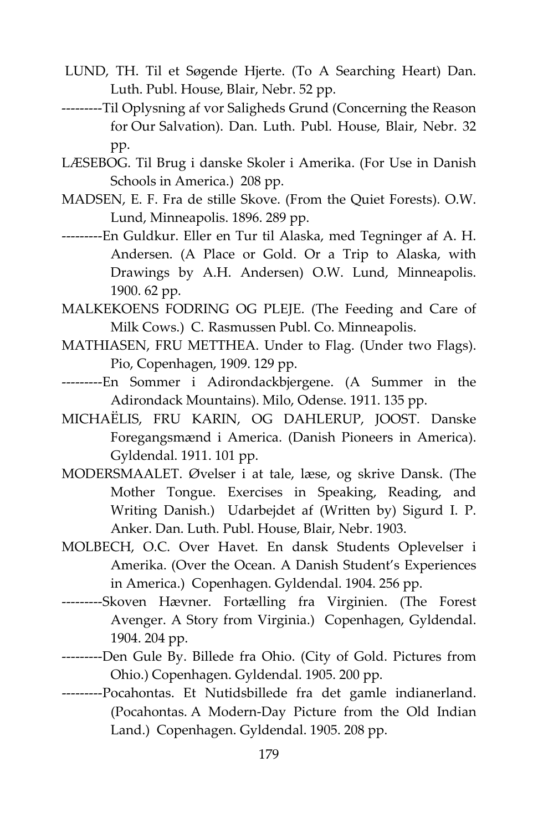- LUND, TH. Til et Søgende Hjerte. (To A Searching Heart) Dan. Luth. Publ. House, Blair, Nebr. 52 pp.
- ---------Til Oplysning af vor Saligheds Grund (Concerning the Reason for Our Salvation). Dan. Luth. Publ. House, Blair, Nebr. 32 pp.
- LÆSEBOG. Til Brug i danske Skoler i Amerika. (For Use in Danish Schools in America.) 208 pp.
- MADSEN, E. F. Fra de stille Skove. (From the Quiet Forests). O.W. Lund, Minneapolis. 1896. 289 pp.
- ---------En Guldkur. Eller en Tur til Alaska, med Tegninger af A. H. Andersen. (A Place or Gold. Or a Trip to Alaska, with Drawings by A.H. Andersen) O.W. Lund, Minneapolis. 1900. 62 pp.
- MALKEKOENS FODRING OG PLEJE. (The Feeding and Care of Milk Cows.) C. Rasmussen Publ. Co. Minneapolis.
- MATHIASEN, FRU METTHEA. Under to Flag. (Under two Flags). Pio, Copenhagen, 1909. 129 pp.
- ---------En Sommer i Adirondackbjergene. (A Summer in the Adirondack Mountains). Milo, Odense. 1911. 135 pp.
- MICHAËLIS, FRU KARIN, OG DAHLERUP, JOOST. Danske Foregangsmænd i America. (Danish Pioneers in America). Gyldendal. 1911. 101 pp.
- MODERSMAALET. Øvelser i at tale, læse, og skrive Dansk. (The Mother Tongue. Exercises in Speaking, Reading, and Writing Danish.) Udarbejdet af (Written by) Sigurd I. P. Anker. Dan. Luth. Publ. House, Blair, Nebr. 1903.
- MOLBECH, O.C. Over Havet. En dansk Students Oplevelser i Amerika. (Over the Ocean. A Danish Student's Experiences in America.) Copenhagen. Gyldendal. 1904. 256 pp.
- ---------Skoven Hævner. Fortælling fra Virginien. (The Forest Avenger. A Story from Virginia.) Copenhagen, Gyldendal. 1904. 204 pp.
- ---------Den Gule By. Billede fra Ohio. (City of Gold. Pictures from Ohio.) Copenhagen. Gyldendal. 1905. 200 pp.
- ---------Pocahontas. Et Nutidsbillede fra det gamle indianerland. (Pocahontas. A Modern-Day Picture from the Old Indian Land.) Copenhagen. Gyldendal. 1905. 208 pp.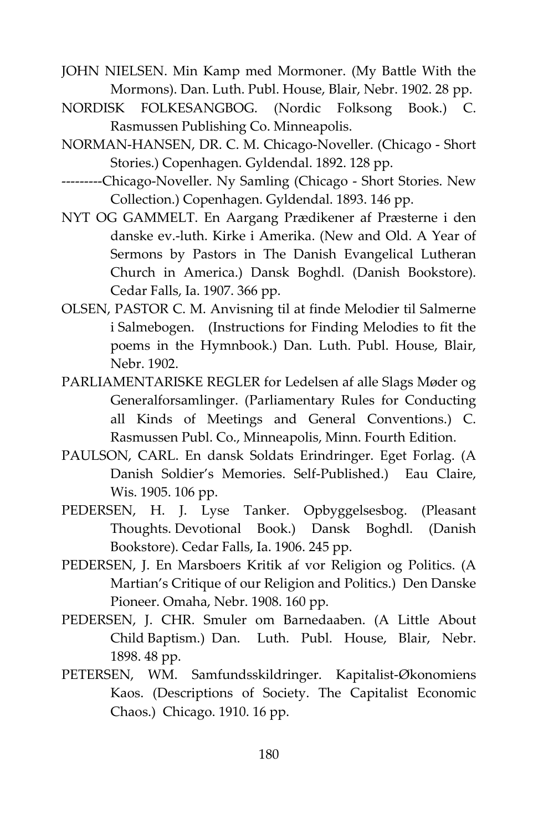JOHN NIELSEN. Min Kamp med Mormoner. (My Battle With the Mormons). Dan. Luth. Publ. House, Blair, Nebr. 1902. 28 pp.

- NORDISK FOLKESANGBOG. (Nordic Folksong Book.) C. Rasmussen Publishing Co. Minneapolis.
- NORMAN-HANSEN, DR. C. M. Chicago-Noveller. (Chicago Short Stories.) Copenhagen. Gyldendal. 1892. 128 pp.
- ---------Chicago-Noveller. Ny Samling (Chicago Short Stories. New Collection.) Copenhagen. Gyldendal. 1893. 146 pp.
- NYT OG GAMMELT. En Aargang Prædikener af Præsterne i den danske ev.-luth. Kirke i Amerika. (New and Old. A Year of Sermons by Pastors in The Danish Evangelical Lutheran Church in America.) Dansk Boghdl. (Danish Bookstore). Cedar Falls, Ia. 1907. 366 pp.
- OLSEN, PASTOR C. M. Anvisning til at finde Melodier til Salmerne i Salmebogen. (Instructions for Finding Melodies to fit the poems in the Hymnbook.) Dan. Luth. Publ. House, Blair, Nebr. 1902.
- PARLIAMENTARISKE REGLER for Ledelsen af alle Slags Møder og Generalforsamlinger. (Parliamentary Rules for Conducting all Kinds of Meetings and General Conventions.) C. Rasmussen Publ. Co., Minneapolis, Minn. Fourth Edition.
- PAULSON, CARL. En dansk Soldats Erindringer. Eget Forlag. (A Danish Soldier's Memories. Self-Published.) Eau Claire, Wis. 1905. 106 pp.
- PEDERSEN, H. J. Lyse Tanker. Opbyggelsesbog. (Pleasant Thoughts. Devotional Book.) Dansk Boghdl. (Danish Bookstore). Cedar Falls, Ia. 1906. 245 pp.
- PEDERSEN, J. En Marsboers Kritik af vor Religion og Politics. (A Martian's Critique of our Religion and Politics.) Den Danske Pioneer. Omaha, Nebr. 1908. 160 pp.
- PEDERSEN, J. CHR. Smuler om Barnedaaben. (A Little About Child Baptism.) Dan. Luth. Publ. House, Blair, Nebr. 1898. 48 pp.
- PETERSEN, WM. Samfundsskildringer. Kapitalist-Økonomiens Kaos. (Descriptions of Society. The Capitalist Economic Chaos.) Chicago. 1910. 16 pp.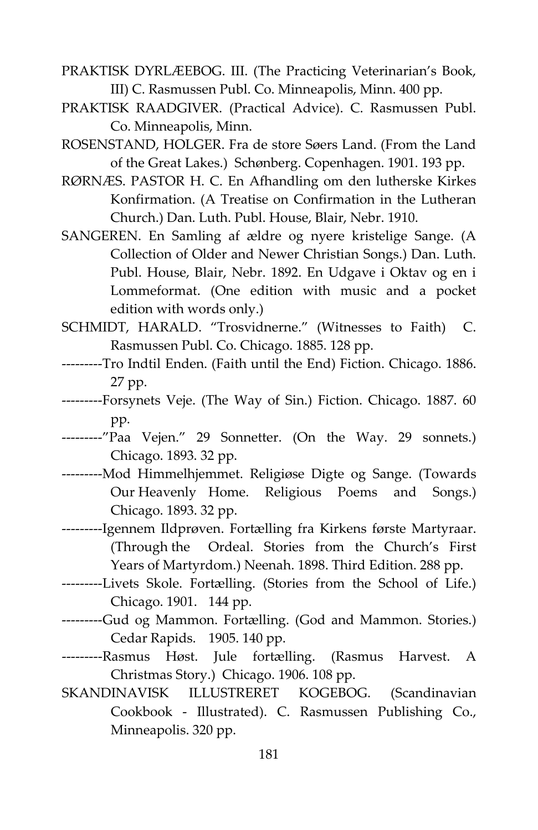- PRAKTISK DYRLÆEBOG. III. (The Practicing Veterinarian's Book, III) C. Rasmussen Publ. Co. Minneapolis, Minn. 400 pp.
- PRAKTISK RAADGIVER. (Practical Advice). C. Rasmussen Publ. Co. Minneapolis, Minn.
- ROSENSTAND, HOLGER. Fra de store Søers Land. (From the Land of the Great Lakes.) Schønberg. Copenhagen. 1901. 193 pp.
- RØRNÆS. PASTOR H. C. En Afhandling om den lutherske Kirkes Konfirmation. (A Treatise on Confirmation in the Lutheran Church.) Dan. Luth. Publ. House, Blair, Nebr. 1910.
- SANGEREN. En Samling af ældre og nyere kristelige Sange. (A Collection of Older and Newer Christian Songs.) Dan. Luth. Publ. House, Blair, Nebr. 1892. En Udgave i Oktav og en i Lommeformat. (One edition with music and a pocket edition with words only.)
- SCHMIDT, HARALD. "Trosvidnerne." (Witnesses to Faith) C. Rasmussen Publ. Co. Chicago. 1885. 128 pp.
- ---------Tro Indtil Enden. (Faith until the End) Fiction. Chicago. 1886. 27 pp.
- ---------Forsynets Veje. (The Way of Sin.) Fiction. Chicago. 1887. 60 pp.
- ---------"Paa Vejen." 29 Sonnetter. (On the Way. 29 sonnets.) Chicago. 1893. 32 pp.
- ---------Mod Himmelhjemmet. Religiøse Digte og Sange. (Towards Our Heavenly Home. Religious Poems and Songs.) Chicago. 1893. 32 pp.
- ---------Igennem Ildprøven. Fortælling fra Kirkens første Martyraar. (Through the Ordeal. Stories from the Church's First Years of Martyrdom.) Neenah. 1898. Third Edition. 288 pp.
- ---------Livets Skole. Fortælling. (Stories from the School of Life.) Chicago. 1901. 144 pp.
- ---------Gud og Mammon. Fortælling. (God and Mammon. Stories.) Cedar Rapids. 1905. 140 pp.
- ---------Rasmus Høst. Jule fortælling. (Rasmus Harvest. A Christmas Story.) Chicago. 1906. 108 pp.
- SKANDINAVISK ILLUSTRERET KOGEBOG. (Scandinavian Cookbook - Illustrated). C. Rasmussen Publishing Co., Minneapolis. 320 pp.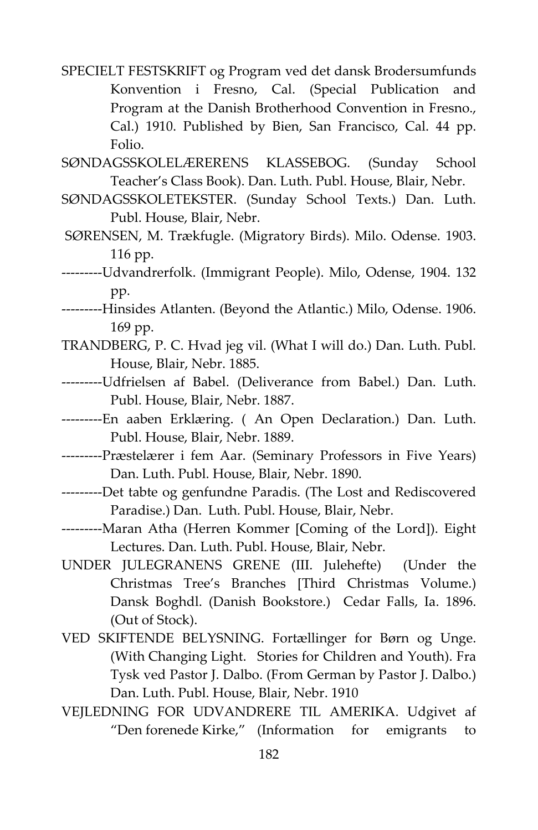SPECIELT FESTSKRIFT og Program ved det dansk Brodersumfunds Konvention i Fresno, Cal. (Special Publication and Program at the Danish Brotherhood Convention in Fresno., Cal.) 1910. Published by Bien, San Francisco, Cal. 44 pp. Folio.

SØNDAGSSKOLELÆRERENS KLASSEBOG. (Sunday School Teacher's Class Book). Dan. Luth. Publ. House, Blair, Nebr.

- SØNDAGSSKOLETEKSTER. (Sunday School Texts.) Dan. Luth. Publ. House, Blair, Nebr.
- SØRENSEN, M. Trækfugle. (Migratory Birds). Milo. Odense. 1903. 116 pp.
- ---------Udvandrerfolk. (Immigrant People). Milo, Odense, 1904. 132 pp.
- ---------Hinsides Atlanten. (Beyond the Atlantic.) Milo, Odense. 1906. 169 pp.
- TRANDBERG, P. C. Hvad jeg vil. (What I will do.) Dan. Luth. Publ. House, Blair, Nebr. 1885.
- ---------Udfrielsen af Babel. (Deliverance from Babel.) Dan. Luth. Publ. House, Blair, Nebr. 1887.
- ---------En aaben Erklæring. ( An Open Declaration.) Dan. Luth. Publ. House, Blair, Nebr. 1889.
- ---------Præstelærer i fem Aar. (Seminary Professors in Five Years) Dan. Luth. Publ. House, Blair, Nebr. 1890.
- ---------Det tabte og genfundne Paradis. (The Lost and Rediscovered Paradise.) Dan. Luth. Publ. House, Blair, Nebr.
- ---------Maran Atha (Herren Kommer [Coming of the Lord]). Eight Lectures. Dan. Luth. Publ. House, Blair, Nebr.
- UNDER JULEGRANENS GRENE (III. Julehefte) (Under the Christmas Tree's Branches [Third Christmas Volume.) Dansk Boghdl. (Danish Bookstore.) Cedar Falls, Ia. 1896. (Out of Stock).
- VED SKIFTENDE BELYSNING. Fortællinger for Børn og Unge. (With Changing Light. Stories for Children and Youth). Fra Tysk ved Pastor J. Dalbo. (From German by Pastor J. Dalbo.) Dan. Luth. Publ. House, Blair, Nebr. 1910
- VEJLEDNING FOR UDVANDRERE TIL AMERIKA. Udgivet af "Den forenede Kirke," (Information for emigrants to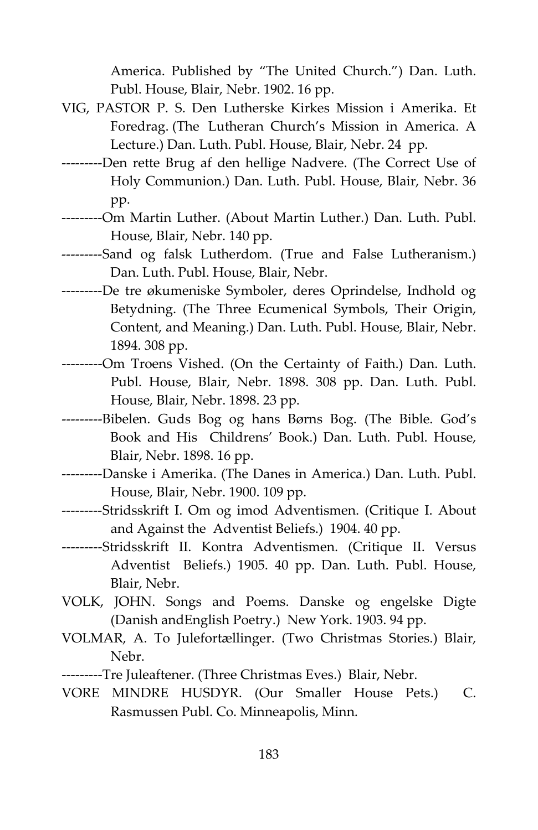America. Published by "The United Church.") Dan. Luth. Publ. House, Blair, Nebr. 1902. 16 pp.

- VIG, PASTOR P. S. Den Lutherske Kirkes Mission i Amerika. Et Foredrag. (The Lutheran Church's Mission in America. A Lecture.) Dan. Luth. Publ. House, Blair, Nebr. 24 pp.
- ---------Den rette Brug af den hellige Nadvere. (The Correct Use of Holy Communion.) Dan. Luth. Publ. House, Blair, Nebr. 36 pp.
- ---------Om Martin Luther. (About Martin Luther.) Dan. Luth. Publ. House, Blair, Nebr. 140 pp.
- ---------Sand og falsk Lutherdom. (True and False Lutheranism.) Dan. Luth. Publ. House, Blair, Nebr.
- ---------De tre økumeniske Symboler, deres Oprindelse, Indhold og Betydning. (The Three Ecumenical Symbols, Their Origin, Content, and Meaning.) Dan. Luth. Publ. House, Blair, Nebr. 1894. 308 pp.
- ---------Om Troens Vished. (On the Certainty of Faith.) Dan. Luth. Publ. House, Blair, Nebr. 1898. 308 pp. Dan. Luth. Publ. House, Blair, Nebr. 1898. 23 pp.
- ---------Bibelen. Guds Bog og hans Børns Bog. (The Bible. God's Book and His Childrens' Book.) Dan. Luth. Publ. House, Blair, Nebr. 1898. 16 pp.
- ---------Danske i Amerika. (The Danes in America.) Dan. Luth. Publ. House, Blair, Nebr. 1900. 109 pp.
- ---------Stridsskrift I. Om og imod Adventismen. (Critique I. About and Against the Adventist Beliefs.) 1904. 40 pp.
- ---------Stridsskrift II. Kontra Adventismen. (Critique II. Versus Adventist Beliefs.) 1905. 40 pp. Dan. Luth. Publ. House, Blair, Nebr.
- VOLK, JOHN. Songs and Poems. Danske og engelske Digte (Danish andEnglish Poetry.) New York. 1903. 94 pp.
- VOLMAR, A. To Julefortællinger. (Two Christmas Stories.) Blair, Nebr.
- ---------Tre Juleaftener. (Three Christmas Eves.) Blair, Nebr.
- VORE MINDRE HUSDYR. (Our Smaller House Pets.) C. Rasmussen Publ. Co. Minneapolis, Minn.